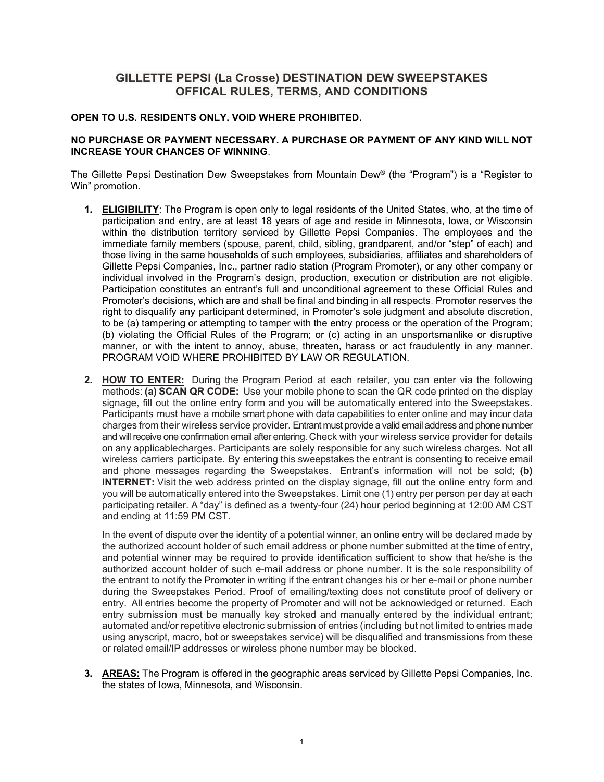## **GILLETTE PEPSI (La Crosse) DESTINATION DEW SWEEPSTAKES OFFICAL RULES, TERMS, AND CONDITIONS**

## **OPEN TO U.S. RESIDENTS ONLY. VOID WHERE PROHIBITED.**

## **NO PURCHASE OR PAYMENT NECESSARY. A PURCHASE OR PAYMENT OF ANY KIND WILL NOT INCREASE YOUR CHANCES OF WINNING**.

The Gillette Pepsi Destination Dew Sweepstakes from Mountain Dew® (the "Program") is a "Register to Win" promotion.

- **1. ELIGIBILITY**: The Program is open only to legal residents of the United States, who, at the time of participation and entry, are at least 18 years of age and reside in Minnesota, Iowa, or Wisconsin within the distribution territory serviced by Gillette Pepsi Companies. The employees and the immediate family members (spouse, parent, child, sibling, grandparent, and/or "step" of each) and those living in the same households of such employees, subsidiaries, affiliates and shareholders of Gillette Pepsi Companies, Inc., partner radio station (Program Promoter), or any other company or individual involved in the Program's design, production, execution or distribution are not eligible. Participation constitutes an entrant's full and unconditional agreement to these Official Rules and Promoter's decisions, which are and shall be final and binding in all respects. Promoter reserves the right to disqualify any participant determined, in Promoter's sole judgment and absolute discretion, to be (a) tampering or attempting to tamper with the entry process or the operation of the Program; (b) violating the Official Rules of the Program; or (c) acting in an unsportsmanlike or disruptive manner, or with the intent to annoy, abuse, threaten, harass or act fraudulently in any manner. PROGRAM VOID WHERE PROHIBITED BY LAW OR REGULATION.
- **2. HOW TO ENTER:** During the Program Period at each retailer, you can enter via the following methods: **(a) SCAN QR CODE:** Use your mobile phone to scan the QR code printed on the display signage, fill out the online entry form and you will be automatically entered into the Sweepstakes. Participants must have a mobile smart phone with data capabilities to enter online and may incur data charges from their wireless service provider. Entrant must provide a valid email address and phone number and will receive one confirmation email after entering. Check with your wireless service provider for details on any applicablecharges. Participants are solely responsible for any such wireless charges. Not all wireless carriers participate. By entering this sweepstakes the entrant is consenting to receive email and phone messages regarding the Sweepstakes. Entrant's information will not be sold; **(b) INTERNET:** Visit [the web address printed on the display signage,](http://www.dewfishing.com/) fill out the online entry form and you will be automatically entered into the Sweepstakes. Limit one (1) entry per person per day at each participating retailer. A "day" is defined as a twenty-four (24) hour period beginning at 12:00 AM CST and ending at 11:59 PM CST.

In the event of dispute over the identity of a potential winner, an online entry will be declared made by the authorized account holder of such email address or phone number submitted at the time of entry, and potential winner may be required to provide identification sufficient to show that he/she is the authorized account holder of such e-mail address or phone number. It is the sole responsibility of the entrant to notify the Promoter in writing if the entrant changes his or her e-mail or phone number during the Sweepstakes Period. Proof of emailing/texting does not constitute proof of delivery or entry. All entries become the property of Promoter and will not be acknowledged or returned. Each entry submission must be manually key stroked and manually entered by the individual entrant; automated and/or repetitive electronic submission of entries (including but not limited to entries made using anyscript, macro, bot or sweepstakes service) will be disqualified and transmissions from these or related email/IP addresses or wireless phone number may be blocked.

**3. AREAS:** The Program is offered in the geographic areas serviced by Gillette Pepsi Companies, Inc. the states of Iowa, Minnesota, and Wisconsin.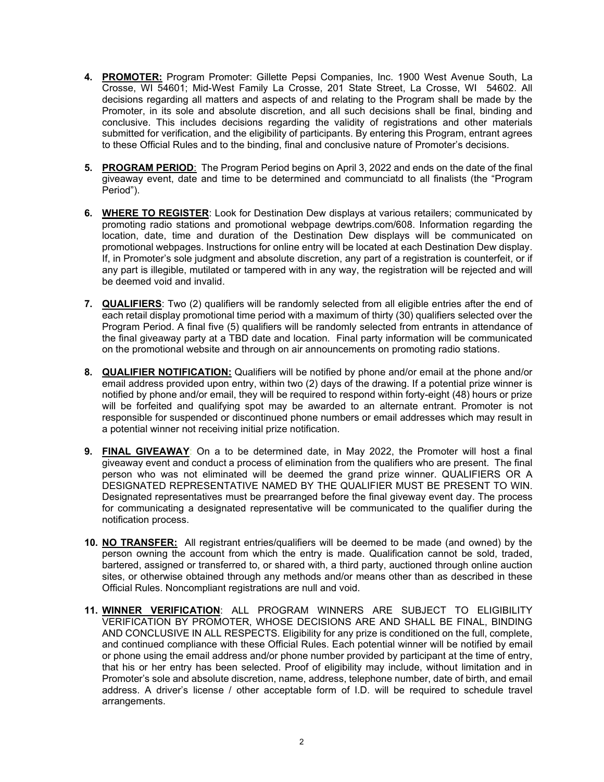- **4. PROMOTER:** Program Promoter: Gillette Pepsi Companies, Inc. 1900 West Avenue South, La Crosse, WI 54601; Mid-West Family La Crosse, 201 State Street, La Crosse, WI 54602. All decisions regarding all matters and aspects of and relating to the Program shall be made by the Promoter, in its sole and absolute discretion, and all such decisions shall be final, binding and conclusive. This includes decisions regarding the validity of registrations and other materials submitted for verification, and the eligibility of participants. By entering this Program, entrant agrees to these Official Rules and to the binding, final and conclusive nature of Promoter's decisions.
- **5. PROGRAM PERIOD**: The Program Period begins on April 3, 2022 and ends on the date of the final giveaway event, date and time to be determined and communciatd to all finalists (the "Program Period").
- **6. WHERE TO REGISTER**: Look for Destination Dew displays at various retailers; communicated by promoting radio stations and promotional webpage dewtrips.com/608. Information regarding the location, date, time and duration of the Destination Dew displays will be communicated on promotional webpages. Instructions for online entry will be located at each Destination Dew display. If, in Promoter's sole judgment and absolute discretion, any part of a registration is counterfeit, or if any part is illegible, mutilated or tampered with in any way, the registration will be rejected and will be deemed void and invalid.
- **7. QUALIFIERS**: Two (2) qualifiers will be randomly selected from all eligible entries after the end of each retail display promotional time period with a maximum of thirty (30) qualifiers selected over the Program Period. A final five (5) qualifiers will be randomly selected from entrants in attendance of the final giveaway party at a TBD date and location. Final party information will be communicated on the promotional website and through on air announcements on promoting radio stations.
- **8. QUALIFIER NOTIFICATION:** Qualifiers will be notified by phone and/or email at the phone and/or email address provided upon entry, within two (2) days of the drawing. If a potential prize winner is notified by phone and/or email, they will be required to respond within forty-eight (48) hours or prize will be forfeited and qualifying spot may be awarded to an alternate entrant. Promoter is not responsible for suspended or discontinued phone numbers or email addresses which may result in a potential winner not receiving initial prize notification.
- **9. FINAL GIVEAWAY**: On a to be determined date, in May 2022, the Promoter will host a final giveaway event and conduct a process of elimination from the qualifiers who are present. The final person who was not eliminated will be deemed the grand prize winner. QUALIFIERS OR A DESIGNATED REPRESENTATIVE NAMED BY THE QUALIFIER MUST BE PRESENT TO WIN. Designated representatives must be prearranged before the final giveway event day. The process for communicating a designated representative will be communicated to the qualifier during the notification process.
- **10. NO TRANSFER:** All registrant entries/qualifiers will be deemed to be made (and owned) by the person owning the account from which the entry is made. Qualification cannot be sold, traded, bartered, assigned or transferred to, or shared with, a third party, auctioned through online auction sites, or otherwise obtained through any methods and/or means other than as described in these Official Rules. Noncompliant registrations are null and void.
- **11. WINNER VERIFICATION**: ALL PROGRAM WINNERS ARE SUBJECT TO ELIGIBILITY VERIFICATION BY PROMOTER, WHOSE DECISIONS ARE AND SHALL BE FINAL, BINDING AND CONCLUSIVE IN ALL RESPECTS. Eligibility for any prize is conditioned on the full, complete, and continued compliance with these Official Rules. Each potential winner will be notified by email or phone using the email address and/or phone number provided by participant at the time of entry, that his or her entry has been selected. Proof of eligibility may include, without limitation and in Promoter's sole and absolute discretion, name, address, telephone number, date of birth, and email address. A driver's license / other acceptable form of I.D. will be required to schedule travel arrangements.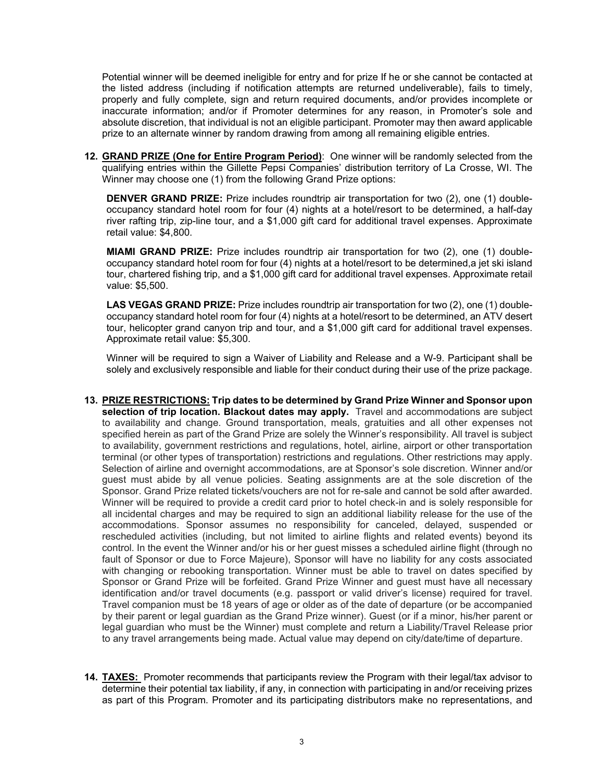Potential winner will be deemed ineligible for entry and for prize If he or she cannot be contacted at the listed address (including if notification attempts are returned undeliverable), fails to timely, properly and fully complete, sign and return required documents, and/or provides incomplete or inaccurate information; and/or if Promoter determines for any reason, in Promoter's sole and absolute discretion, that individual is not an eligible participant. Promoter may then award applicable prize to an alternate winner by random drawing from among all remaining eligible entries.

**12. GRAND PRIZE (One for Entire Program Period)**: One winner will be randomly selected from the qualifying entries within the Gillette Pepsi Companies' distribution territory of La Crosse, WI. The Winner may choose one (1) from the following Grand Prize options:

**DENVER GRAND PRIZE:** Prize includes roundtrip air transportation for two (2), one (1) doubleoccupancy standard hotel room for four (4) nights at a hotel/resort to be determined, a half-day river rafting trip, zip-line tour, and a \$1,000 gift card for additional travel expenses. Approximate retail value: \$4,800.

**MIAMI GRAND PRIZE:** Prize includes roundtrip air transportation for two (2), one (1) doubleoccupancy standard hotel room for four (4) nights at a hotel/resort to be determined,a jet ski island tour, chartered fishing trip, and a \$1,000 gift card for additional travel expenses. Approximate retail value: \$5,500.

**LAS VEGAS GRAND PRIZE:** Prize includes roundtrip air transportation for two (2), one (1) doubleoccupancy standard hotel room for four (4) nights at a hotel/resort to be determined, an ATV desert tour, helicopter grand canyon trip and tour, and a \$1,000 gift card for additional travel expenses. Approximate retail value: \$5,300.

Winner will be required to sign a Waiver of Liability and Release and a W-9. Participant shall be solely and exclusively responsible and liable for their conduct during their use of the prize package.

- **13. PRIZE RESTRICTIONS: Trip dates to be determined by Grand Prize Winner and Sponsor upon selection of trip location. Blackout dates may apply.** Travel and accommodations are subject to availability and change. Ground transportation, meals, gratuities and all other expenses not specified herein as part of the Grand Prize are solely the Winner's responsibility. All travel is subject to availability, government restrictions and regulations, hotel, airline, airport or other transportation terminal (or other types of transportation) restrictions and regulations. Other restrictions may apply. Selection of airline and overnight accommodations, are at Sponsor's sole discretion. Winner and/or guest must abide by all venue policies. Seating assignments are at the sole discretion of the Sponsor. Grand Prize related tickets/vouchers are not for re-sale and cannot be sold after awarded. Winner will be required to provide a credit card prior to hotel check-in and is solely responsible for all incidental charges and may be required to sign an additional liability release for the use of the accommodations. Sponsor assumes no responsibility for canceled, delayed, suspended or rescheduled activities (including, but not limited to airline flights and related events) beyond its control. In the event the Winner and/or his or her guest misses a scheduled airline flight (through no fault of Sponsor or due to Force Majeure), Sponsor will have no liability for any costs associated with changing or rebooking transportation. Winner must be able to travel on dates specified by Sponsor or Grand Prize will be forfeited. Grand Prize Winner and guest must have all necessary identification and/or travel documents (e.g. passport or valid driver's license) required for travel. Travel companion must be 18 years of age or older as of the date of departure (or be accompanied by their parent or legal guardian as the Grand Prize winner). Guest (or if a minor, his/her parent or legal guardian who must be the Winner) must complete and return a Liability/Travel Release prior to any travel arrangements being made. Actual value may depend on city/date/time of departure.
- **14. TAXES:** Promoter recommends that participants review the Program with their legal/tax advisor to determine their potential tax liability, if any, in connection with participating in and/or receiving prizes as part of this Program. Promoter and its participating distributors make no representations, and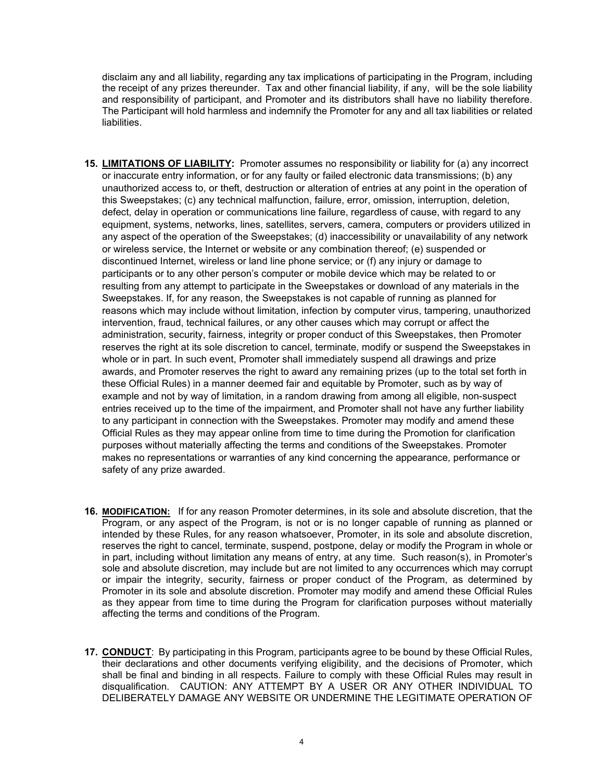disclaim any and all liability, regarding any tax implications of participating in the Program, including the receipt of any prizes thereunder. Tax and other financial liability, if any, will be the sole liability and responsibility of participant, and Promoter and its distributors shall have no liability therefore. The Participant will hold harmless and indemnify the Promoter for any and all tax liabilities or related liabilities.

- **15. LIMITATIONS OF LIABILITY:** Promoter assumes no responsibility or liability for (a) any incorrect or inaccurate entry information, or for any faulty or failed electronic data transmissions; (b) any unauthorized access to, or theft, destruction or alteration of entries at any point in the operation of this Sweepstakes; (c) any technical malfunction, failure, error, omission, interruption, deletion, defect, delay in operation or communications line failure, regardless of cause, with regard to any equipment, systems, networks, lines, satellites, servers, camera, computers or providers utilized in any aspect of the operation of the Sweepstakes; (d) inaccessibility or unavailability of any network or wireless service, the Internet or website or any combination thereof; (e) suspended or discontinued Internet, wireless or land line phone service; or (f) any injury or damage to participants or to any other person's computer or mobile device which may be related to or resulting from any attempt to participate in the Sweepstakes or download of any materials in the Sweepstakes. If, for any reason, the Sweepstakes is not capable of running as planned for reasons which may include without limitation, infection by computer virus, tampering, unauthorized intervention, fraud, technical failures, or any other causes which may corrupt or affect the administration, security, fairness, integrity or proper conduct of this Sweepstakes, then Promoter reserves the right at its sole discretion to cancel, terminate, modify or suspend the Sweepstakes in whole or in part. In such event, Promoter shall immediately suspend all drawings and prize awards, and Promoter reserves the right to award any remaining prizes (up to the total set forth in these Official Rules) in a manner deemed fair and equitable by Promoter, such as by way of example and not by way of limitation, in a random drawing from among all eligible, non-suspect entries received up to the time of the impairment, and Promoter shall not have any further liability to any participant in connection with the Sweepstakes. Promoter may modify and amend these Official Rules as they may appear online from time to time during the Promotion for clarification purposes without materially affecting the terms and conditions of the Sweepstakes. Promoter makes no representations or warranties of any kind concerning the appearance, performance or safety of any prize awarded.
- **16. MODIFICATION:** If for any reason Promoter determines, in its sole and absolute discretion, that the Program, or any aspect of the Program, is not or is no longer capable of running as planned or intended by these Rules, for any reason whatsoever, Promoter, in its sole and absolute discretion, reserves the right to cancel, terminate, suspend, postpone, delay or modify the Program in whole or in part, including without limitation any means of entry, at any time. Such reason(s), in Promoter's sole and absolute discretion, may include but are not limited to any occurrences which may corrupt or impair the integrity, security, fairness or proper conduct of the Program, as determined by Promoter in its sole and absolute discretion. Promoter may modify and amend these Official Rules as they appear from time to time during the Program for clarification purposes without materially affecting the terms and conditions of the Program.
- **17. CONDUCT**: By participating in this Program, participants agree to be bound by these Official Rules, their declarations and other documents verifying eligibility, and the decisions of Promoter, which shall be final and binding in all respects. Failure to comply with these Official Rules may result in disqualification. CAUTION: ANY ATTEMPT BY A USER OR ANY OTHER INDIVIDUAL TO DELIBERATELY DAMAGE ANY WEBSITE OR UNDERMINE THE LEGITIMATE OPERATION OF